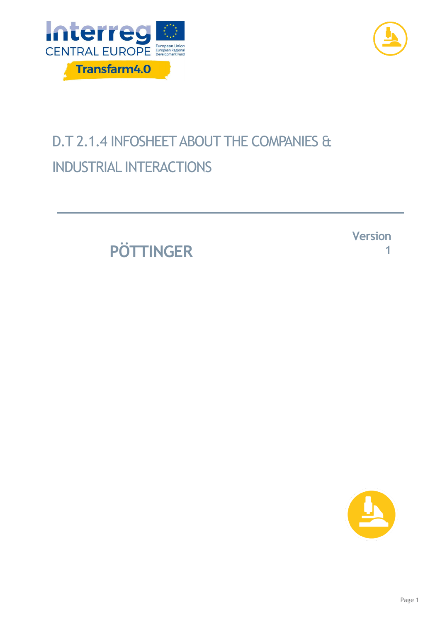



## D.T 2.1.4 INFOSHEET ABOUT THE COMPANIES & INDUSTRIAL INTERACTIONS

**PÖTTINGER**

**Version 1**

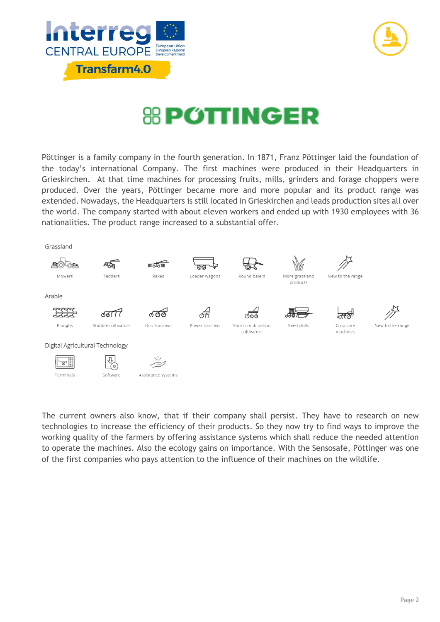



## **& POTTINGER**

Pöttinger is a family company in the fourth generation. In 1871, Franz Pöttinger laid the foundation of the today's international Company. The first machines were produced in their Headquarters in Grieskirchen. At that time machines for processing fruits, mills, grinders and forage choppers were produced. Over the years, Pöttinger became more and more popular and its product range was extended. Nowadays, the Headquarters is still located in Grieskirchen and leads production sites all over the world. The company started with about eleven workers and ended up with 1930 employees with 36 nationalities. The product range increased to a substantial offer.



The current owners also know, that if their company shall persist. They have to research on new technologies to increase the efficiency of their products. So they now try to find ways to improve the working quality of the farmers by offering assistance systems which shall reduce the needed attention to operate the machines. Also the ecology gains on importance. With the Sensosafe, Pöttinger was one of the first companies who pays attention to the influence of their machines on the wildlife.